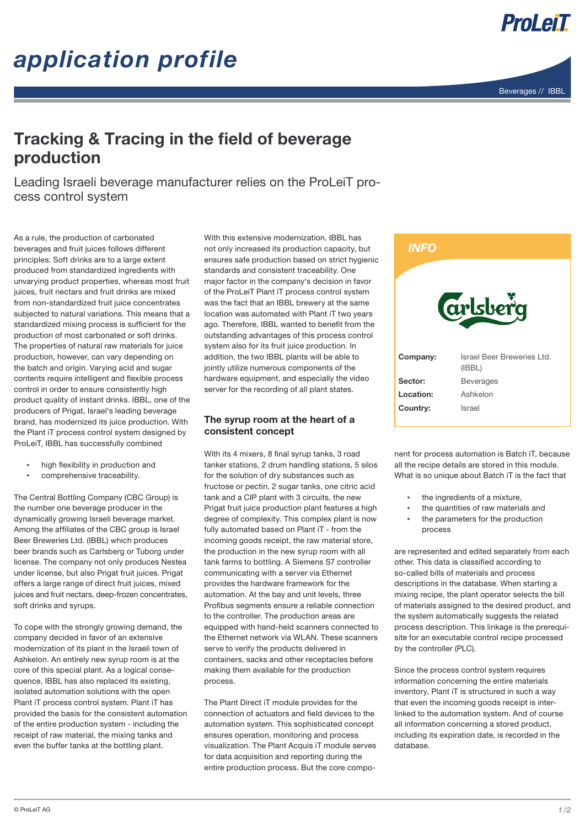# *application profile*



ProLeiT

### Tracking & Tracing in the field of beverage production

Leading Israeli beverage manufacturer relies on the ProLeiT process control system

As a rule, the production of carbonated beverages and fruit juices follows different principles: Soft drinks are to a large extent produced from standardized ingredients with unvarying product properties, whereas most fruit juices, fruit nectars and fruit drinks are mixed from non-standardized fruit juice concentrates subjected to natural variations. This means that a standardized mixing process is sufficient for the production of most carbonated or soft drinks. The properties of natural raw materials for juice production, however, can vary depending on the batch and origin. Varying acid and sugar contents require intelligent and flexible process control in order to ensure consistently high product quality of instant drinks. IBBL, one of the producers of Prigat, Israel's leading beverage brand, has modernized its juice production. With the Plant iT process control system designed by ProLeiT, IBBL has successfully combined

- high flexibility in production and
- comprehensive traceability.

The Central Bottling Company (CBC Group) is the number one beverage producer in the dynamically growing Israeli beverage market. Among the affiliates of the CBC group is Israel Beer Breweries Ltd. (IBBL) which produces beer brands such as Carlsberg or Tuborg under license. The company not only produces Nestea under license, but also Prigat fruit juices. Prigat offers a large range of direct fruit juices, mixed juices and fruit nectars, deep-frozen concentrates, soft drinks and syrups.

To cope with the strongly growing demand, the company decided in favor of an extensive modernization of its plant in the Israeli town of Ashkelon. An entirely new syrup room is at the core of this special plant. As a logical consequence, IBBL has also replaced its existing, isolated automation solutions with the open Plant iT process control system. Plant iT has provided the basis for the consistent automation of the entire production system - including the receipt of raw material, the mixing tanks and even the buffer tanks at the bottling plant.

With this extensive modernization, IBBL has not only increased its production capacity, but ensures safe production based on strict hygienic standards and consistent traceability. One major factor in the company's decision in favor of the ProLeiT Plant iT process control system was the fact that an IBBL brewery at the same location was automated with Plant iT two years ago. Therefore, IBBL wanted to benefit from the outstanding advantages of this process control system also for its fruit juice production. In addition, the two IBBL plants will be able to jointly utilize numerous components of the hardware equipment, and especially the video server for the recording of all plant states.

### The syrup room at the heart of a consistent concept

With its 4 mixers, 8 final syrup tanks, 3 road tanker stations, 2 drum handling stations, 5 silos for the solution of dry substances such as fructose or pectin, 2 sugar tanks, one citric acid tank and a CIP plant with 3 circuits, the new Prigat fruit juice production plant features a high degree of complexity. This complex plant is now fully automated based on Plant iT - from the incoming goods receipt, the raw material store, the production in the new syrup room with all tank farms to bottling. A Siemens S7 controller communicating with a server via Ethernet provides the hardware framework for the automation. At the bay and unit levels, three Profibus segments ensure a reliable connection to the controller. The production areas are equipped with hand-held scanners connected to the Ethernet network via WLAN. These scanners serve to verify the products delivered in containers, sacks and other receptacles before making them available for the production process.

The Plant Direct iT module provides for the connection of actuators and field devices to the automation system. This sophisticated concept ensures operation, monitoring and process visualization. The Plant Acquis iT module serves for data acquisition and reporting during the entire production process. But the core compo-



nent for process automation is Batch iT, because all the recipe details are stored in this module. What is so unique about Batch iT is the fact that

- the ingredients of a mixture,
- the quantities of raw materials and
- the parameters for the production process

are represented and edited separately from each other. This data is classified according to so-called bills of materials and process descriptions in the database. When starting a mixing recipe, the plant operator selects the bill of materials assigned to the desired product, and the system automatically suggests the related process description. This linkage is the prerequisite for an executable control recipe processed by the controller (PLC).

Since the process control system requires information concerning the entire materials inventory, Plant iT is structured in such a way that even the incoming goods receipt is interlinked to the automation system. And of course all information concerning a stored product, including its expiration date, is recorded in the database.